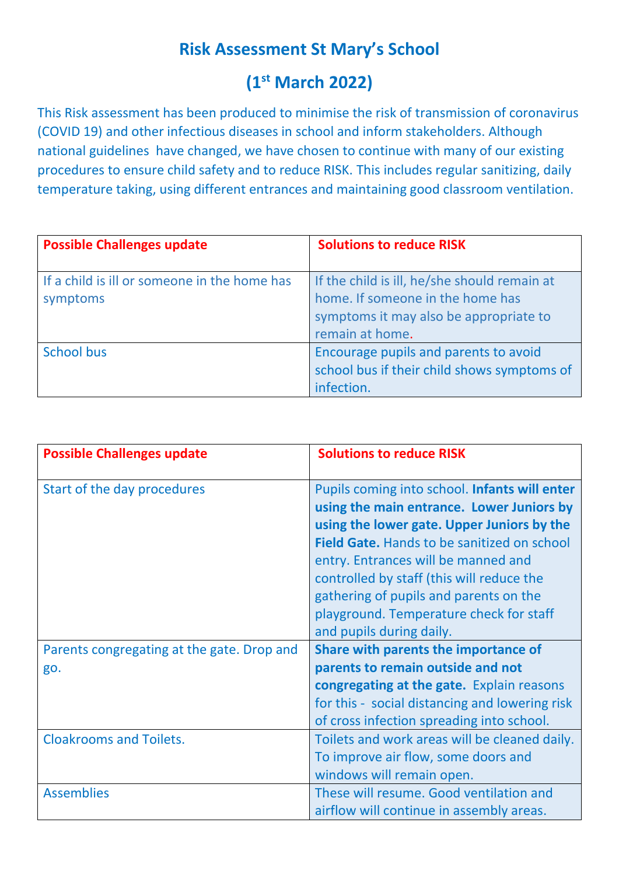## **Risk Assessment St Mary's School**

# **(1 st March 2022)**

This Risk assessment has been produced to minimise the risk of transmission of coronavirus (COVID 19) and other infectious diseases in school and inform stakeholders. Although national guidelines have changed, we have chosen to continue with many of our existing procedures to ensure child safety and to reduce RISK. This includes regular sanitizing, daily temperature taking, using different entrances and maintaining good classroom ventilation.

| <b>Possible Challenges update</b>                        | <b>Solutions to reduce RISK</b>                                                                                                               |
|----------------------------------------------------------|-----------------------------------------------------------------------------------------------------------------------------------------------|
| If a child is ill or someone in the home has<br>symptoms | If the child is ill, he/she should remain at<br>home. If someone in the home has<br>symptoms it may also be appropriate to<br>remain at home. |
| <b>School bus</b>                                        | Encourage pupils and parents to avoid<br>school bus if their child shows symptoms of<br>infection.                                            |

| <b>Possible Challenges update</b>                 | <b>Solutions to reduce RISK</b>                                                                                                                                                                                                                                                                                                                                                                     |
|---------------------------------------------------|-----------------------------------------------------------------------------------------------------------------------------------------------------------------------------------------------------------------------------------------------------------------------------------------------------------------------------------------------------------------------------------------------------|
| Start of the day procedures                       | Pupils coming into school. Infants will enter<br>using the main entrance. Lower Juniors by<br>using the lower gate. Upper Juniors by the<br><b>Field Gate.</b> Hands to be sanitized on school<br>entry. Entrances will be manned and<br>controlled by staff (this will reduce the<br>gathering of pupils and parents on the<br>playground. Temperature check for staff<br>and pupils during daily. |
| Parents congregating at the gate. Drop and<br>go. | Share with parents the importance of<br>parents to remain outside and not<br>congregating at the gate. Explain reasons<br>for this - social distancing and lowering risk<br>of cross infection spreading into school.                                                                                                                                                                               |
| <b>Cloakrooms and Toilets.</b>                    | Toilets and work areas will be cleaned daily.<br>To improve air flow, some doors and<br>windows will remain open.                                                                                                                                                                                                                                                                                   |
| <b>Assemblies</b>                                 | These will resume. Good ventilation and<br>airflow will continue in assembly areas.                                                                                                                                                                                                                                                                                                                 |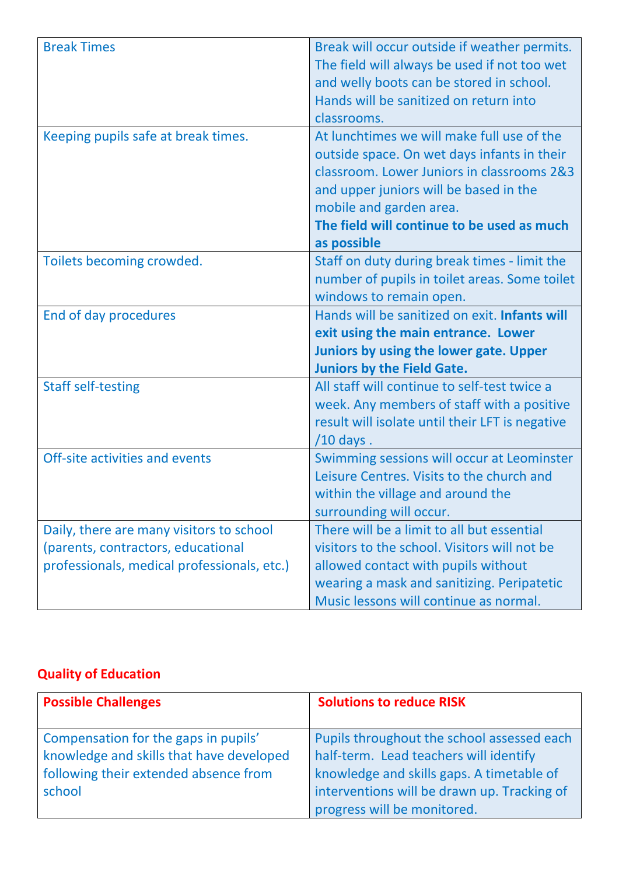| <b>Break Times</b>                          | Break will occur outside if weather permits.                                         |
|---------------------------------------------|--------------------------------------------------------------------------------------|
|                                             | The field will always be used if not too wet                                         |
|                                             | and welly boots can be stored in school.                                             |
|                                             | Hands will be sanitized on return into                                               |
|                                             | classrooms.                                                                          |
| Keeping pupils safe at break times.         | At lunchtimes we will make full use of the                                           |
|                                             | outside space. On wet days infants in their                                          |
|                                             | classroom. Lower Juniors in classrooms 2&3                                           |
|                                             | and upper juniors will be based in the                                               |
|                                             | mobile and garden area.                                                              |
|                                             | The field will continue to be used as much                                           |
|                                             | as possible                                                                          |
| Toilets becoming crowded.                   | Staff on duty during break times - limit the                                         |
|                                             | number of pupils in toilet areas. Some toilet                                        |
|                                             | windows to remain open.                                                              |
| End of day procedures                       | Hands will be sanitized on exit. <b>Infants will</b>                                 |
|                                             | exit using the main entrance. Lower                                                  |
|                                             |                                                                                      |
|                                             | Juniors by using the lower gate. Upper                                               |
|                                             | <b>Juniors by the Field Gate.</b>                                                    |
| <b>Staff self-testing</b>                   | All staff will continue to self-test twice a                                         |
|                                             | week. Any members of staff with a positive                                           |
|                                             | result will isolate until their LFT is negative                                      |
|                                             | $/10$ days.                                                                          |
| Off-site activities and events              | Swimming sessions will occur at Leominster                                           |
|                                             | Leisure Centres. Visits to the church and                                            |
|                                             | within the village and around the                                                    |
|                                             | surrounding will occur.                                                              |
| Daily, there are many visitors to school    | There will be a limit to all but essential                                           |
| (parents, contractors, educational          | visitors to the school. Visitors will not be                                         |
| professionals, medical professionals, etc.) | allowed contact with pupils without                                                  |
|                                             | wearing a mask and sanitizing. Peripatetic<br>Music lessons will continue as normal. |

### **Quality of Education**

| <b>Possible Challenges</b>                                                                                                          | <b>Solutions to reduce RISK</b>                                                                                                                                                                                 |
|-------------------------------------------------------------------------------------------------------------------------------------|-----------------------------------------------------------------------------------------------------------------------------------------------------------------------------------------------------------------|
| Compensation for the gaps in pupils'<br>knowledge and skills that have developed<br>following their extended absence from<br>school | Pupils throughout the school assessed each<br>half-term. Lead teachers will identify<br>knowledge and skills gaps. A timetable of<br>interventions will be drawn up. Tracking of<br>progress will be monitored. |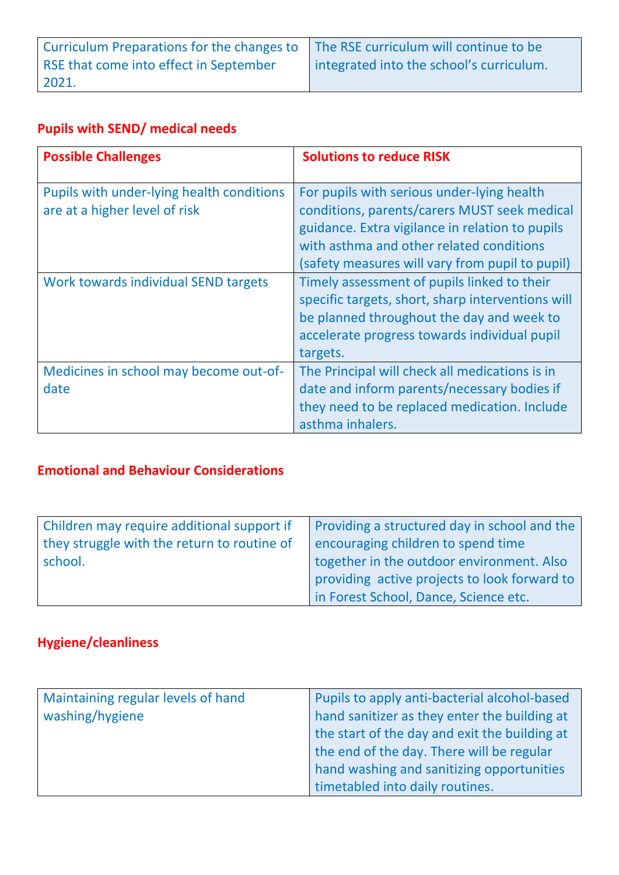| Curriculum Preparations for the changes to The RSE curriculum will continue to be |                                          |
|-----------------------------------------------------------------------------------|------------------------------------------|
| RSE that come into effect in September                                            | integrated into the school's curriculum. |
| 2021.                                                                             |                                          |

### **Pupils with SEND/ medical needs**

| <b>Possible Challenges</b>                                                 | <b>Solutions to reduce RISK</b>                                                                                                                                                                                                              |
|----------------------------------------------------------------------------|----------------------------------------------------------------------------------------------------------------------------------------------------------------------------------------------------------------------------------------------|
| Pupils with under-lying health conditions<br>are at a higher level of risk | For pupils with serious under-lying health<br>conditions, parents/carers MUST seek medical<br>guidance. Extra vigilance in relation to pupils<br>with asthma and other related conditions<br>(safety measures will vary from pupil to pupil) |
| Work towards individual SEND targets                                       | Timely assessment of pupils linked to their<br>specific targets, short, sharp interventions will<br>be planned throughout the day and week to<br>accelerate progress towards individual pupil<br>targets.                                    |
| Medicines in school may become out-of-<br>date                             | The Principal will check all medications is in<br>date and inform parents/necessary bodies if<br>they need to be replaced medication. Include<br>asthma inhalers.                                                                            |

### **Emotional and Behaviour Considerations**

| Children may require additional support if  | Providing a structured day in school and the |
|---------------------------------------------|----------------------------------------------|
| they struggle with the return to routine of | encouraging children to spend time           |
| school.                                     | together in the outdoor environment. Also    |
|                                             | providing active projects to look forward to |
|                                             | in Forest School, Dance, Science etc.        |

### **Hygiene/cleanliness**

| Maintaining regular levels of hand | Pupils to apply anti-bacterial alcohol-based  |
|------------------------------------|-----------------------------------------------|
| washing/hygiene                    | hand sanitizer as they enter the building at  |
|                                    | the start of the day and exit the building at |
|                                    | the end of the day. There will be regular     |
|                                    | hand washing and sanitizing opportunities     |
|                                    | timetabled into daily routines.               |